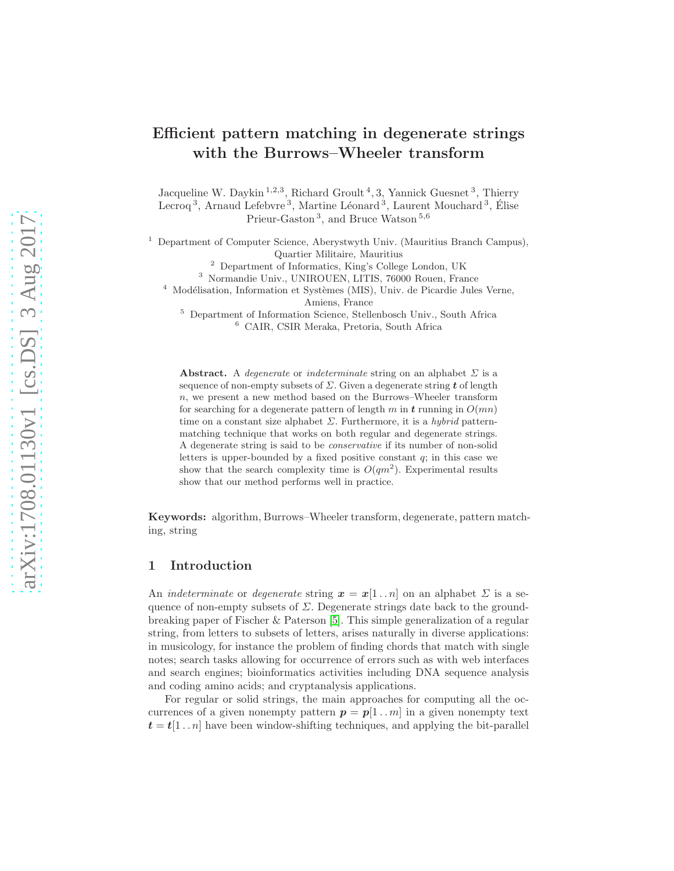# Efficient pattern matching in degenerate strings with the Burrows–Wheeler transform

Jacqueline W. Daykin<sup>1,2,3</sup>, Richard Groult<sup>4</sup>, 3, Yannick Guesnet<sup>3</sup>, Thierry Lecroq<sup>3</sup>, Arnaud Lefebvre<sup>3</sup>, Martine Léonard<sup>3</sup>, Laurent Mouchard<sup>3</sup>, Élise Prieur-Gaston<sup>3</sup>, and Bruce Watson<sup>5,6</sup>

<sup>1</sup> Department of Computer Science, Aberystwyth Univ. (Mauritius Branch Campus), Quartier Militaire, Mauritius

<sup>2</sup> Department of Informatics, King's College London, UK

<sup>3</sup> Normandie Univ., UNIROUEN, LITIS, 76000 Rouen, France

 $4$  Modélisation, Information et Systèmes (MIS), Univ. de Picardie Jules Verne, Amiens, France

<sup>5</sup> Department of Information Science, Stellenbosch Univ., South Africa <sup>6</sup> CAIR, CSIR Meraka, Pretoria, South Africa

Abstract. A *degenerate* or *indeterminate* string on an alphabet  $\Sigma$  is a sequence of non-empty subsets of  $\Sigma$ . Given a degenerate string t of length  $n$ , we present a new method based on the Burrows–Wheeler transform for searching for a degenerate pattern of length m in t running in  $O(mn)$ time on a constant size alphabet  $\Sigma$ . Furthermore, it is a *hybrid* patternmatching technique that works on both regular and degenerate strings. A degenerate string is said to be conservative if its number of non-solid letters is upper-bounded by a fixed positive constant  $q$ ; in this case we show that the search complexity time is  $O(qm^2)$ . Experimental results show that our method performs well in practice.

Keywords: algorithm, Burrows–Wheeler transform, degenerate, pattern matching, string

## 1 Introduction

An *indeterminate* or *degenerate* string  $x = x[1..n]$  on an alphabet  $\Sigma$  is a sequence of non-empty subsets of  $\Sigma$ . Degenerate strings date back to the groundbreaking paper of Fischer & Paterson [\[5\]](#page-6-0). This simple generalization of a regular string, from letters to subsets of letters, arises naturally in diverse applications: in musicology, for instance the problem of finding chords that match with single notes; search tasks allowing for occurrence of errors such as with web interfaces and search engines; bioinformatics activities including DNA sequence analysis and coding amino acids; and cryptanalysis applications.

For regular or solid strings, the main approaches for computing all the occurrences of a given nonempty pattern  $p = p[1..m]$  in a given nonempty text  $t = t[1..n]$  have been window-shifting techniques, and applying the bit-parallel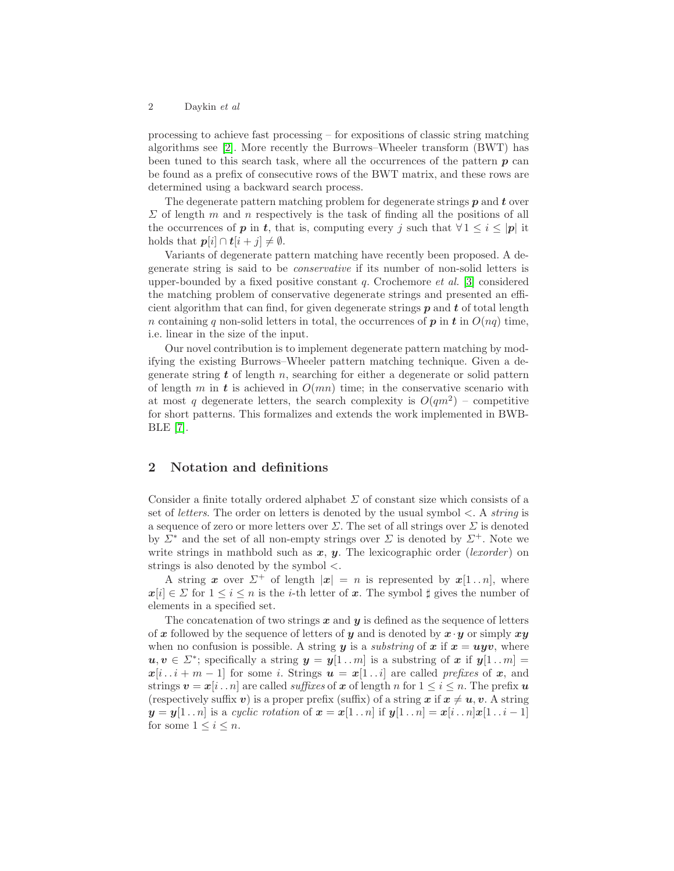#### 2 Daykin et al

processing to achieve fast processing – for expositions of classic string matching algorithms see [\[2\]](#page-6-1). More recently the Burrows–Wheeler transform (BWT) has been tuned to this search task, where all the occurrences of the pattern  $p$  can be found as a prefix of consecutive rows of the BWT matrix, and these rows are determined using a backward search process.

The degenerate pattern matching problem for degenerate strings  $p$  and  $t$  over  $\Sigma$  of length m and n respectively is the task of finding all the positions of all the occurrences of **p** in **t**, that is, computing every j such that  $\forall 1 \leq i \leq |p|$  it holds that  $p[i] \cap t[i+j] \neq \emptyset$ .

Variants of degenerate pattern matching have recently been proposed. A degenerate string is said to be conservative if its number of non-solid letters is upper-bounded by a fixed positive constant q. Crochemore et al. [\[3\]](#page-6-2) considered the matching problem of conservative degenerate strings and presented an efficient algorithm that can find, for given degenerate strings  $p$  and  $t$  of total length n containing q non-solid letters in total, the occurrences of  $p$  in  $t$  in  $O(nq)$  time, i.e. linear in the size of the input.

Our novel contribution is to implement degenerate pattern matching by modifying the existing Burrows–Wheeler pattern matching technique. Given a degenerate string  $t$  of length  $n$ , searching for either a degenerate or solid pattern of length m in t is achieved in  $O(mn)$  time; in the conservative scenario with at most q degenerate letters, the search complexity is  $O(qm^2)$  – competitive for short patterns. This formalizes and extends the work implemented in BWB-BLE [\[7\]](#page-6-3).

### 2 Notation and definitions

Consider a finite totally ordered alphabet  $\Sigma$  of constant size which consists of a set of *letters*. The order on letters is denoted by the usual symbol  $\lt$ . A *string* is a sequence of zero or more letters over  $\Sigma$ . The set of all strings over  $\Sigma$  is denoted by  $\Sigma^*$  and the set of all non-empty strings over  $\Sigma$  is denoted by  $\Sigma^+$ . Note we write strings in mathbold such as  $x, y$ . The lexicographic order (lexorder) on strings is also denoted by the symbol  $\lt$ .

A string x over  $\Sigma^+$  of length  $|x| = n$  is represented by  $x[1..n]$ , where  $x[i] \in \Sigma$  for  $1 \leq i \leq n$  is the *i*-th letter of x. The symbol  $\sharp$  gives the number of elements in a specified set.

The concatenation of two strings  $x$  and  $y$  is defined as the sequence of letters of x followed by the sequence of letters of y and is denoted by  $x \cdot y$  or simply  $xy$ when no confusion is possible. A string y is a *substring* of x if  $x = u y v$ , where  $u, v \in \Sigma^*$ ; specifically a string  $y = y[1..m]$  is a substring of x if  $y[1..m] =$  $x[i \cdot i + m - 1]$  for some i. Strings  $u = x[1 \cdot i]$  are called prefixes of x, and strings  $v = x[i \nvert n]$  are called *suffixes* of x of length n for  $1 \leq i \leq n$ . The prefix u (respectively suffix v) is a proper prefix (suffix) of a string x if  $x \neq u, v$ . A string  $y = y[1..n]$  is a cyclic rotation of  $x = x[1..n]$  if  $y[1..n] = x[i..n]x[1..i-1]$ for some  $1 \leq i \leq n$ .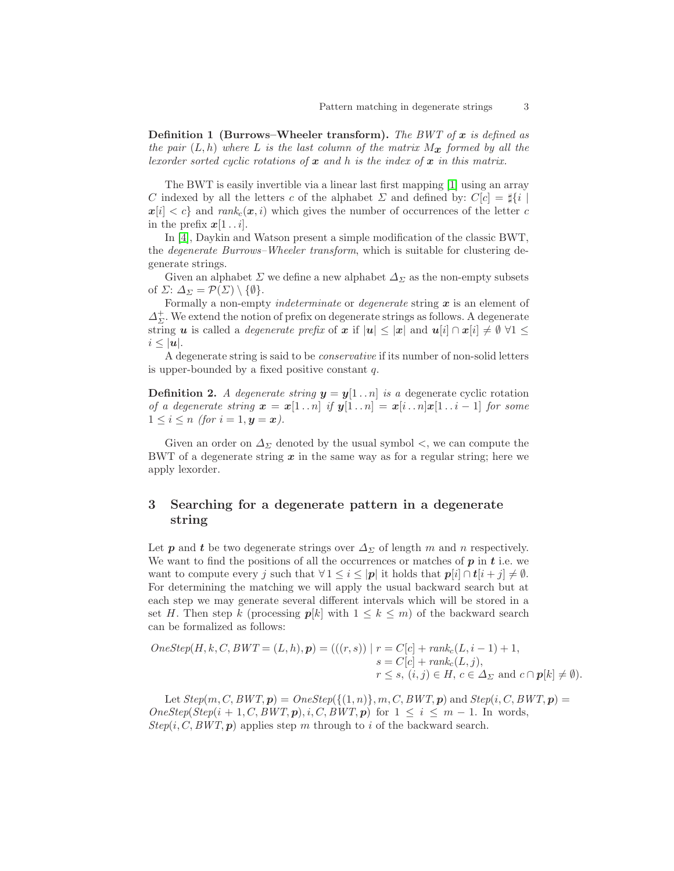**Definition 1 (Burrows–Wheeler transform).** The BWT of x is defined as the pair  $(L, h)$  where L is the last column of the matrix  $M_{\mathbf{x}}$  formed by all the lexorder sorted cyclic rotations of  $x$  and  $h$  is the index of  $x$  in this matrix.

The BWT is easily invertible via a linear last first mapping [\[1\]](#page-6-4) using an array C indexed by all the letters c of the alphabet  $\Sigma$  and defined by:  $C[c] = \frac{1}{2}i$  $x[i] < c$  and rank<sub>c</sub> $(x, i)$  which gives the number of occurrences of the letter c in the prefix  $x[1 \t{i}]$ .

In [\[4\]](#page-6-5), Daykin and Watson present a simple modification of the classic BWT, the degenerate Burrows–Wheeler transform, which is suitable for clustering degenerate strings.

Given an alphabet  $\Sigma$  we define a new alphabet  $\Delta_{\Sigma}$  as the non-empty subsets of  $\Sigma: \Delta_{\Sigma} = \mathcal{P}(\Sigma) \setminus \{\emptyset\}.$ 

Formally a non-empty *indeterminate* or *degenerate* string  $x$  is an element of  $\Delta_{\Sigma}^+$ . We extend the notion of prefix on degenerate strings as follows. A degenerate string u is called a *degenerate prefix* of x if  $|u| \leq |x|$  and  $u[i] \cap x[i] \neq \emptyset \ \forall 1 \leq$  $i \leq |\boldsymbol{u}|.$ 

A degenerate string is said to be conservative if its number of non-solid letters is upper-bounded by a fixed positive constant  $q$ .

**Definition 2.** A degenerate string  $y = y[1 \tildot n]$  is a degenerate cyclic rotation of a degenerate string  $\mathbf{x} = \mathbf{x}[1..n]$  if  $\mathbf{y}[1..n] = \mathbf{x}[i..n]\mathbf{x}[1..i-1]$  for some  $1 \leq i \leq n$  (for  $i = 1, y = x$ ).

Given an order on  $\Delta_{\Sigma}$  denoted by the usual symbol  $\lt$ , we can compute the BWT of a degenerate string  $x$  in the same way as for a regular string; here we apply lexorder.

## 3 Searching for a degenerate pattern in a degenerate string

Let **p** and **t** be two degenerate strings over  $\Delta_{\Sigma}$  of length m and n respectively. We want to find the positions of all the occurrences or matches of  $p$  in  $t$  i.e. we want to compute every j such that  $\forall 1 \leq i \leq |\mathbf{p}|$  it holds that  $\mathbf{p}[i] \cap \mathbf{t}[i + j] \neq \emptyset$ . For determining the matching we will apply the usual backward search but at each step we may generate several different intervals which will be stored in a set H. Then step k (processing  $p[k]$  with  $1 \leq k \leq m$ ) of the backward search can be formalized as follows:

$$
OneStep(H, k, C, BWT = (L, h), p) = (((r, s)) | r = C[c] + rank_c(L, i - 1) + 1,
$$
  
\n
$$
s = C[c] + rank_c(L, j),
$$
  
\n
$$
r \leq s, (i, j) \in H, c \in \Delta_{\Sigma} \text{ and } c \cap p[k] \neq \emptyset).
$$

Let  $Step(m, C, BWT, p) = OneStep(\{(1, n)\}, m, C, BWT, p)$  and  $Step(i, C, BWT, p) =$  $OneStep(Step(i + 1, C, BWT, p), i, C, BWT, p)$  for  $1 \leq i \leq m - 1$ . In words,  $Step(i, C, BWT, p)$  applies step m through to i of the backward search.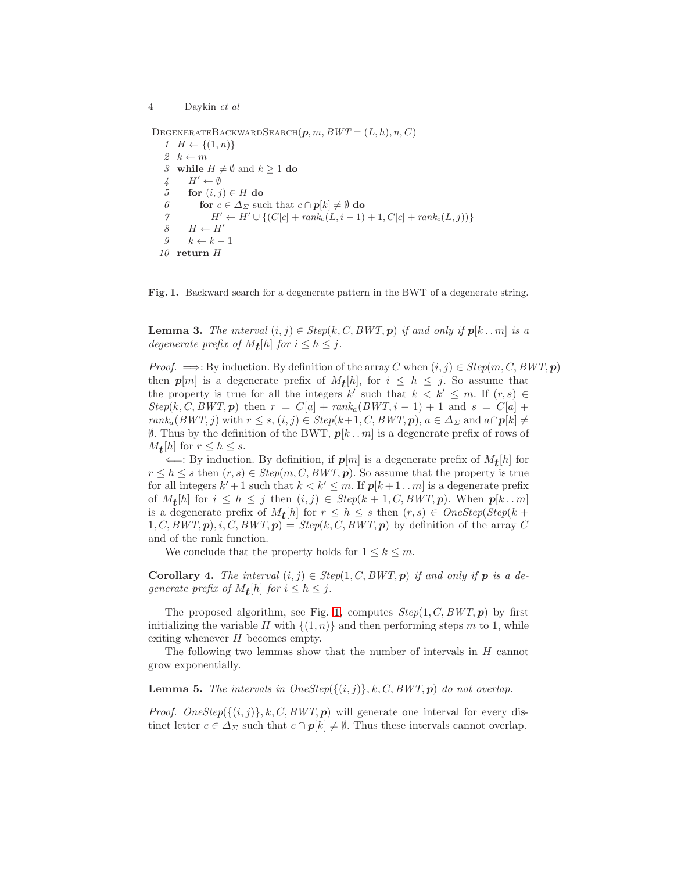4 Daykin et al

DEGENERATEBACKWARDSEARCH $(p, m, BWT = (L, h), n, C)$ 

 $1 H \leftarrow \{(1, n)\}\$ 2  $k \leftarrow m$ 3 while  $H \neq \emptyset$  and  $k \geq 1$  do  $\downarrow$   $H' \leftarrow \emptyset$ 5 for  $(i, j) \in H$  do 6 for  $c \in \Delta_{\Sigma}$  such that  $c \cap p[k] \neq \emptyset$  do 7  $H' \leftarrow H' \cup \{ (C[c] + rank_c(L, i-1) + 1, C[c] + rank_c(L, j)) \}$ 8  $H \leftarrow H'$  $9 \qquad k \leftarrow k - 1$ 10 return H

<span id="page-3-0"></span>Fig. 1. Backward search for a degenerate pattern in the BWT of a degenerate string.

**Lemma 3.** The interval  $(i, j) \in Step(k, C, BWT, p)$  if and only if  $p[k \dots m]$  is a degenerate prefix of  $M_{\mathbf{t}}[h]$  for  $i \leq h \leq j$ .

*Proof.*  $\implies$ : By induction. By definition of the array C when  $(i, j) \in Step(m, C, BWT, p)$ then  $p[m]$  is a degenerate prefix of  $M_{\mathbf{t}}[h]$ , for  $i \leq h \leq j$ . So assume that the property is true for all the integers k' such that  $k \leq k' \leq m$ . If  $(r, s) \in$  $Step(k, C, BWT, p)$  then  $r = C[a] + rank_a(BWT, i - 1) + 1$  and  $s = C[a] +$  $rank_a(BWT, j)$  with  $r \leq s, (i, j) \in Step(k+1, C, BWT, p), a \in \Delta_{\Sigma}$  and  $a \cap p[k] \neq$  $\emptyset$ . Thus by the definition of the BWT,  $p[k \nvert m]$  is a degenerate prefix of rows of  $M_{\mathbf{t}}[h]$  for  $r \leq h \leq s$ .

 $\Leftarrow$ : By induction. By definition, if  $p[m]$  is a degenerate prefix of  $M_{\mathbf{t}}[h]$  for  $r \leq h \leq s$  then  $(r, s) \in Step(m, C, BWT, p)$ . So assume that the property is true for all integers  $k' + 1$  such that  $k < k' \leq m$ . If  $p[k+1..m]$  is a degenerate prefix of  $M_{\mathbf{t}}[h]$  for  $i \leq h \leq j$  then  $(i, j) \in Step(k + 1, C, BWT, p)$ . When  $p[k \dots m]$ is a degenerate prefix of  $M_{\mathbf{t}}[h]$  for  $r \leq h \leq s$  then  $(r, s) \in OneStep(Step(k +$  $1, C, BWT, p$ ,  $i, C, BWT, p$  =  $Step(k, C, BWT, p)$  by definition of the array C and of the rank function.

We conclude that the property holds for  $1 \leq k \leq m$ .

<span id="page-3-2"></span>**Corollary 4.** The interval  $(i, j) \in Step(1, C, BWT, p)$  if and only if **p** is a degenerate prefix of  $M_{\mathbf{t}}[h]$  for  $i \leq h \leq j$ .

The proposed algorithm, see Fig. [1,](#page-3-0) computes  $Step(1, C, BWT, p)$  by first initializing the variable H with  $\{(1,n)\}\$ and then performing steps m to 1, while exiting whenever  $H$  becomes empty.

<span id="page-3-1"></span>The following two lemmas show that the number of intervals in H cannot grow exponentially.

**Lemma 5.** The intervals in  $OneStep({{(i,j)}}, k, C, BWT, p)$  do not overlap.

*Proof.* OneStep( $\{(i, j)\}, k, C, BWT, p$ ) will generate one interval for every distinct letter  $c \in \Delta_{\Sigma}$  such that  $c \cap p[k] \neq \emptyset$ . Thus these intervals cannot overlap.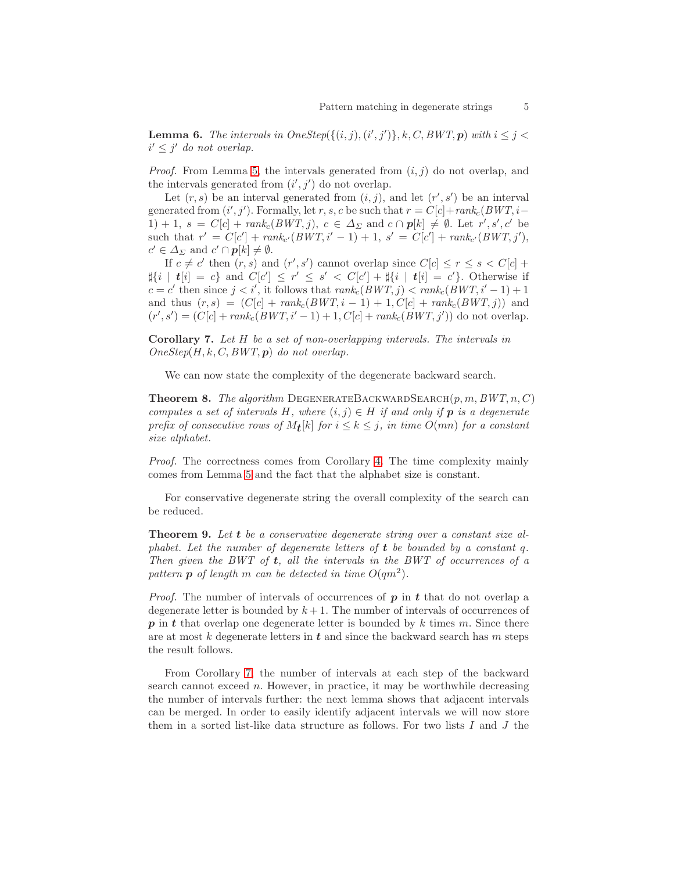**Lemma 6.** The intervals in  $OneStep({{(i,j),(i',j')}, k, C, BWT, p})$  with  $i \leq j <$  $i' \leq j'$  do not overlap.

*Proof.* From Lemma [5,](#page-3-1) the intervals generated from  $(i, j)$  do not overlap, and the intervals generated from  $(i', j')$  do not overlap.

Let  $(r, s)$  be an interval generated from  $(i, j)$ , and let  $(r', s')$  be an interval generated from  $(i', j')$ . Formally, let r, s, c be such that  $r = C[c] + rank_c(BWT, i -$ 1) + 1, s =  $C[c] + rank_c(BWT, j)$ ,  $c \in \Delta_{\Sigma}$  and  $c \cap p[k] \neq \emptyset$ . Let  $r', s', c'$  be such that  $r' = C[c'] + rank_{c'}(BWT, i' - 1) + 1, s' = C[c'] + rank_{c'}(BWT, j'),$  $c' \in \Delta_{\Sigma}$  and  $c' \cap p[k] \neq \emptyset$ .

If  $c \neq c'$  then  $(r, s)$  and  $(r', s')$  cannot overlap since  $C[c] \leq r \leq s < C[c] +$  $\sharp\{i \mid t[i]=c\}$  and  $C[c'] \leq r' \leq s' < C[c'] + \sharp\{i \mid t[i]=c'\}.$  Otherwise if  $c = c'$  then since  $j < i'$ , it follows that  $rank_c(BWT, j) < rank_c(BWT, i'-1) + 1$ and thus  $(r, s) = (C[c] + rank_c(BWT, i - 1) + 1, C[c] + rank_c(BWT, j))$  and  $(r', s') = (C[c] + rank_c(BWT, i'-1) + 1, C[c] + rank_c(BWT, j'))$  do not overlap.

<span id="page-4-0"></span>Corollary 7. Let H be a set of non-overlapping intervals. The intervals in  $OneStep(H, k, C, BWT, p)$  do not overlap.

We can now state the complexity of the degenerate backward search.

**Theorem 8.** The algorithm DEGENERATEBACKWARDSEARCH $(p, m, BWT, n, C)$ computes a set of intervals H, where  $(i, j) \in H$  if and only if **p** is a degenerate prefix of consecutive rows of  $M_{\mathbf{t}}[k]$  for  $i \leq k \leq j$ , in time  $O(mn)$  for a constant size alphabet.

Proof. The correctness comes from Corollary [4.](#page-3-2) The time complexity mainly comes from Lemma [5](#page-3-1) and the fact that the alphabet size is constant.

For conservative degenerate string the overall complexity of the search can be reduced.

Theorem 9. Let t be a conservative degenerate string over a constant size alphabet. Let the number of degenerate letters of  $t$  be bounded by a constant q. Then given the BWT of  $t$ , all the intervals in the BWT of occurrences of a pattern **p** of length m can be detected in time  $O(qm^2)$ .

*Proof.* The number of intervals of occurrences of  $p$  in  $t$  that do not overlap a degenerate letter is bounded by  $k + 1$ . The number of intervals of occurrences of  $p$  in t that overlap one degenerate letter is bounded by k times m. Since there are at most k degenerate letters in  $t$  and since the backward search has m steps the result follows.

From Corollary [7,](#page-4-0) the number of intervals at each step of the backward search cannot exceed  $n$ . However, in practice, it may be worthwhile decreasing the number of intervals further: the next lemma shows that adjacent intervals can be merged. In order to easily identify adjacent intervals we will now store them in a sorted list-like data structure as follows. For two lists  $I$  and  $J$  the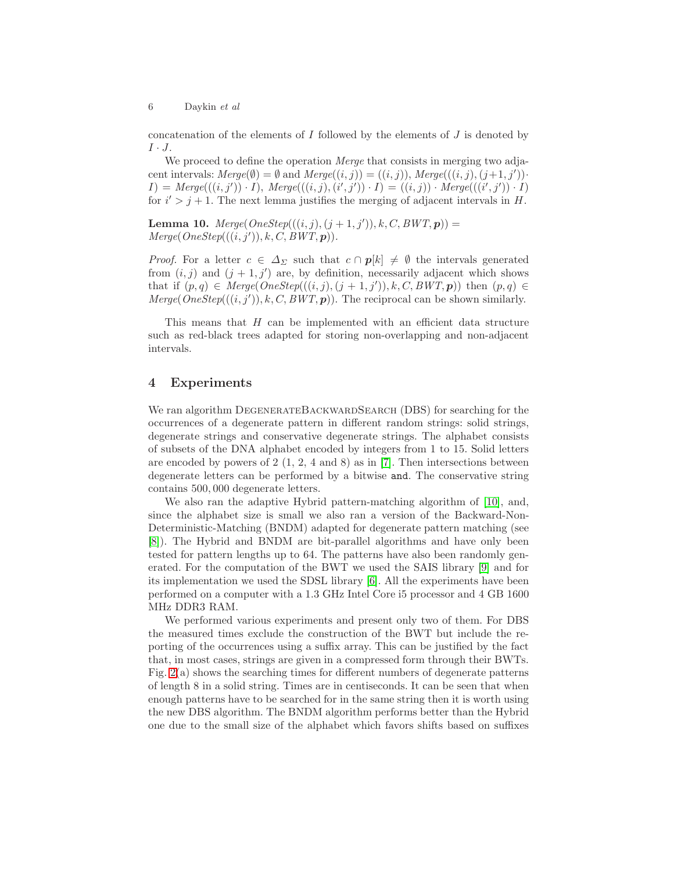concatenation of the elements of  $I$  followed by the elements of  $J$  is denoted by  $I \cdot J$ .

We proceed to define the operation *Merge* that consists in merging two adjacent intervals:  $Merge(\emptyset) = \emptyset$  and  $Merge((i, j)) = ((i, j)),$   $Merge(((i, j), (j+1, j')).$  $I) = \text{Merge}(((i, j')) \cdot I), \text{Merge}(((i, j), (i', j')) \cdot I) = ((i, j)) \cdot \text{Merge}(((i', j')) \cdot I)$ for  $i' > j + 1$ . The next lemma justifies the merging of adjacent intervals in H.

**Lemma 10.**  $Merge(OneStep(((i, j), (j + 1, j')), k, C, BWT, p)) =$  $Merge(OneStep(((i, j')), k, C, BWT, p)).$ 

*Proof.* For a letter  $c \in \Delta_{\Sigma}$  such that  $c \cap p[k] \neq \emptyset$  the intervals generated from  $(i, j)$  and  $(j + 1, j')$  are, by definition, necessarily adjacent which shows that if  $(p, q) \in \text{Merge}(OneStep(((i, j), (j + 1, j')), k, C, BWT, p))$  then  $(p, q) \in$ Merge( $On\epsilon Step(((i, j'))$ , k, C,  $BWT, p)$ ). The reciprocal can be shown similarly.

This means that  $H$  can be implemented with an efficient data structure such as red-black trees adapted for storing non-overlapping and non-adjacent intervals.

#### 4 Experiments

We ran algorithm DEGENERATEBACKWARDSEARCH (DBS) for searching for the occurrences of a degenerate pattern in different random strings: solid strings, degenerate strings and conservative degenerate strings. The alphabet consists of subsets of the DNA alphabet encoded by integers from 1 to 15. Solid letters are encoded by powers of  $2(1, 2, 4 \text{ and } 8)$  as in [\[7\]](#page-6-3). Then intersections between degenerate letters can be performed by a bitwise and. The conservative string contains 500, 000 degenerate letters.

We also ran the adaptive Hybrid pattern-matching algorithm of [\[10\]](#page-6-6), and, since the alphabet size is small we also ran a version of the Backward-Non-Deterministic-Matching (BNDM) adapted for degenerate pattern matching (see [\[8\]](#page-6-7)). The Hybrid and BNDM are bit-parallel algorithms and have only been tested for pattern lengths up to 64. The patterns have also been randomly generated. For the computation of the BWT we used the SAIS library [\[9\]](#page-6-8) and for its implementation we used the SDSL library [\[6\]](#page-6-9). All the experiments have been performed on a computer with a 1.3 GHz Intel Core i5 processor and 4 GB 1600 MHz DDR3 RAM.

We performed various experiments and present only two of them. For DBS the measured times exclude the construction of the BWT but include the reporting of the occurrences using a suffix array. This can be justified by the fact that, in most cases, strings are given in a compressed form through their BWTs. Fig. [2\(](#page-6-10)a) shows the searching times for different numbers of degenerate patterns of length 8 in a solid string. Times are in centiseconds. It can be seen that when enough patterns have to be searched for in the same string then it is worth using the new DBS algorithm. The BNDM algorithm performs better than the Hybrid one due to the small size of the alphabet which favors shifts based on suffixes